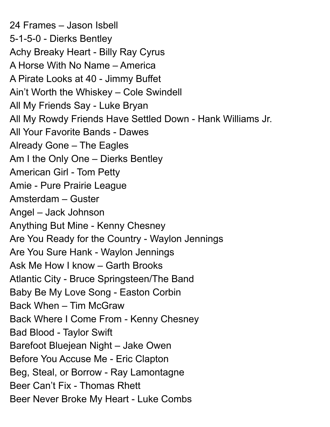24 Frames – Jason Isbell 5-1-5-0 - Dierks Bentley Achy Breaky Heart - Billy Ray Cyrus A Horse With No Name – America A Pirate Looks at 40 - Jimmy Buffet Ain't Worth the Whiskey – Cole Swindell All My Friends Say - Luke Bryan All My Rowdy Friends Have Settled Down - Hank Williams Jr. All Your Favorite Bands - Dawes Already Gone – The Eagles Am I the Only One – Dierks Bentley American Girl - Tom Petty Amie - Pure Prairie League Amsterdam – Guster Angel – Jack Johnson Anything But Mine - Kenny Chesney Are You Ready for the Country - Waylon Jennings Are You Sure Hank - Waylon Jennings Ask Me How I know – Garth Brooks Atlantic City - Bruce Springsteen/The Band Baby Be My Love Song - Easton Corbin Back When – Tim McGraw Back Where I Come From - Kenny Chesney Bad Blood - Taylor Swift Barefoot Bluejean Night – Jake Owen Before You Accuse Me - Eric Clapton Beg, Steal, or Borrow - Ray Lamontagne Beer Can't Fix - Thomas Rhett Beer Never Broke My Heart - Luke Combs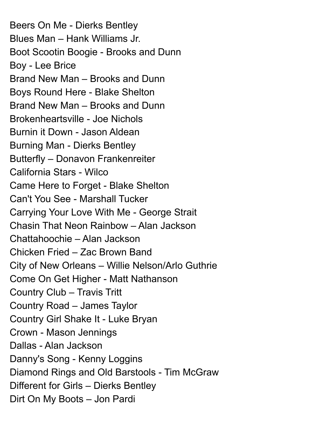Beers On Me - Dierks Bentley Blues Man – Hank Williams Jr. Boot Scootin Boogie - Brooks and Dunn Boy - Lee Brice Brand New Man – Brooks and Dunn Boys Round Here - Blake Shelton Brand New Man – Brooks and Dunn Brokenheartsville - Joe Nichols Burnin it Down - Jason Aldean Burning Man - Dierks Bentley Butterfly – Donavon Frankenreiter California Stars - Wilco Came Here to Forget - Blake Shelton Can't You See - Marshall Tucker Carrying Your Love With Me - George Strait Chasin That Neon Rainbow – Alan Jackson Chattahoochie – Alan Jackson Chicken Fried – Zac Brown Band City of New Orleans – Willie Nelson/Arlo Guthrie Come On Get Higher - Matt Nathanson Country Club – Travis Tritt Country Road – James Taylor Country Girl Shake It - Luke Bryan Crown - Mason Jennings Dallas - Alan Jackson Danny's Song - Kenny Loggins Diamond Rings and Old Barstools - Tim McGraw Different for Girls – Dierks Bentley Dirt On My Boots – Jon Pardi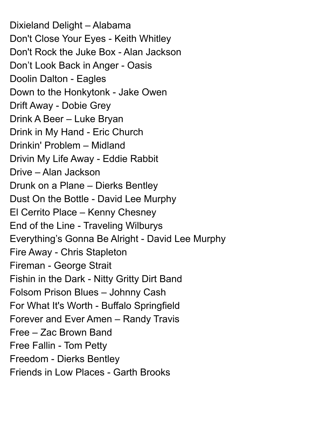Dixieland Delight – Alabama Don't Close Your Eyes - Keith Whitley Don't Rock the Juke Box - Alan Jackson Don't Look Back in Anger - Oasis Doolin Dalton - Eagles Down to the Honkytonk - Jake Owen Drift Away - Dobie Grey Drink A Beer – Luke Bryan Drink in My Hand - Eric Church Drinkin' Problem – Midland Drivin My Life Away - Eddie Rabbit Drive – Alan Jackson Drunk on a Plane – Dierks Bentley Dust On the Bottle - David Lee Murphy El Cerrito Place – Kenny Chesney End of the Line - Traveling Wilburys Everything's Gonna Be Alright - David Lee Murphy Fire Away - Chris Stapleton Fireman - George Strait Fishin in the Dark - Nitty Gritty Dirt Band Folsom Prison Blues – Johnny Cash For What It's Worth - Buffalo Springfield Forever and Ever Amen – Randy Travis Free – Zac Brown Band Free Fallin - Tom Petty Freedom - Dierks Bentley Friends in Low Places - Garth Brooks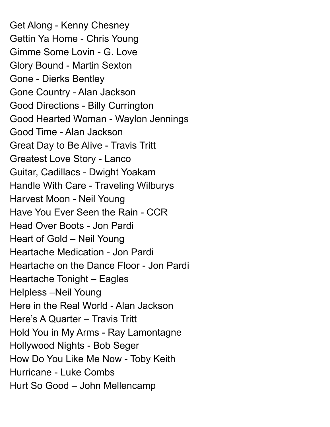Get Along - Kenny Chesney Gettin Ya Home - Chris Young Gimme Some Lovin - G. Love Glory Bound - Martin Sexton Gone - Dierks Bentley Gone Country - Alan Jackson Good Directions - Billy Currington Good Hearted Woman - Waylon Jennings Good Time - Alan Jackson Great Day to Be Alive - Travis Tritt Greatest Love Story - Lanco Guitar, Cadillacs - Dwight Yoakam Handle With Care - Traveling Wilburys Harvest Moon - Neil Young Have You Ever Seen the Rain - CCR Head Over Boots - Jon Pardi Heart of Gold – Neil Young Heartache Medication - Jon Pardi Heartache on the Dance Floor - Jon Pardi Heartache Tonight – Eagles Helpless –Neil Young Here in the Real World - Alan Jackson Here's A Quarter – Travis Tritt Hold You in My Arms - Ray Lamontagne Hollywood Nights - Bob Seger How Do You Like Me Now - Toby Keith Hurricane - Luke Combs Hurt So Good – John Mellencamp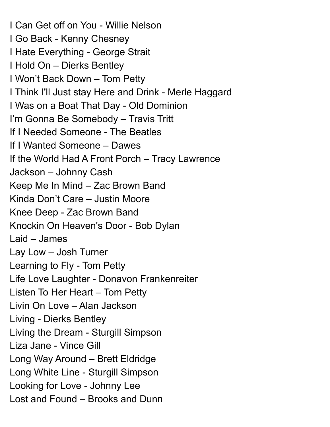I Can Get off on You - Willie Nelson I Go Back - Kenny Chesney I Hate Everything - George Strait I Hold On – Dierks Bentley I Won't Back Down – Tom Petty I Think I'll Just stay Here and Drink - Merle Haggard I Was on a Boat That Day - Old Dominion I'm Gonna Be Somebody – Travis Tritt If I Needed Someone - The Beatles If I Wanted Someone – Dawes If the World Had A Front Porch – Tracy Lawrence Jackson – Johnny Cash Keep Me In Mind – Zac Brown Band Kinda Don't Care – Justin Moore Knee Deep - Zac Brown Band Knockin On Heaven's Door - Bob Dylan Laid – James Lay Low – Josh Turner Learning to Fly - Tom Petty Life Love Laughter - Donavon Frankenreiter Listen To Her Heart – Tom Petty Livin On Love – Alan Jackson Living - Dierks Bentley Living the Dream - Sturgill Simpson Liza Jane - Vince Gill Long Way Around – Brett Eldridge Long White Line - Sturgill Simpson Looking for Love - Johnny Lee Lost and Found – Brooks and Dunn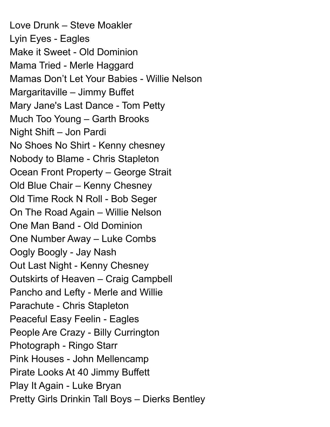Love Drunk – Steve Moakler Lyin Eyes - Eagles Make it Sweet - Old Dominion Mama Tried - Merle Haggard Mamas Don't Let Your Babies - Willie Nelson Margaritaville – Jimmy Buffet Mary Jane's Last Dance - Tom Petty Much Too Young – Garth Brooks Night Shift – Jon Pardi No Shoes No Shirt - Kenny chesney Nobody to Blame - Chris Stapleton Ocean Front Property – George Strait Old Blue Chair – Kenny Chesney Old Time Rock N Roll - Bob Seger On The Road Again – Willie Nelson One Man Band - Old Dominion One Number Away – Luke Combs Oogly Boogly - Jay Nash Out Last Night - Kenny Chesney Outskirts of Heaven – Craig Campbell Pancho and Lefty - Merle and Willie Parachute - Chris Stapleton Peaceful Easy Feelin - Eagles People Are Crazy - Billy Currington Photograph - Ringo Starr Pink Houses - John Mellencamp Pirate Looks At 40 Jimmy Buffett Play It Again - Luke Bryan Pretty Girls Drinkin Tall Boys – Dierks Bentley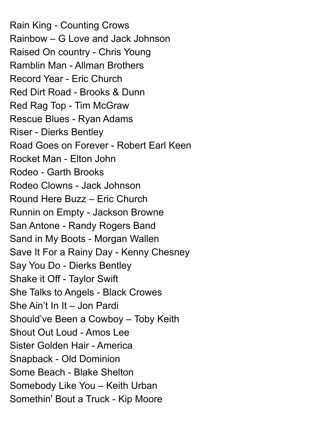Rain King - Counting Crows Rainbow – G Love and Jack Johnson Raised On country - Chris Young Ramblin Man - Allman Brothers Record Year - Eric Church Red Dirt Road - Brooks & Dunn Red Rag Top - Tim McGraw Rescue Blues - Ryan Adams Riser - Dierks Bentley Road Goes on Forever - Robert Earl Keen Rocket Man - Elton John Rodeo - Garth Brooks Rodeo Clowns - Jack Johnson Round Here Buzz – Eric Church Runnin on Empty - Jackson Browne San Antone - Randy Rogers Band Sand in My Boots - Morgan Wallen Save It For a Rainy Day - Kenny Chesney Say You Do - Dierks Bentley Shake it Off - Taylor Swift She Talks to Angels - Black Crowes She Ain't In It – Jon Pardi Should've Been a Cowboy – Toby Keith Shout Out Loud - Amos Lee Sister Golden Hair - America Snapback - Old Dominion Some Beach - Blake Shelton Somebody Like You – Keith Urban Somethin' Bout a Truck - Kip Moore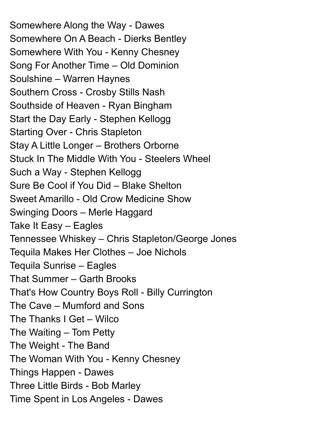Somewhere Along the Way - Dawes Somewhere On A Beach - Dierks Bentley Somewhere With You - Kenny Chesney Song For Another Time – Old Dominion Soulshine – Warren Haynes Southern Cross - Crosby Stills Nash Southside of Heaven - Ryan Bingham Start the Day Early - Stephen Kellogg Starting Over - Chris Stapleton Stay A Little Longer – Brothers Orborne Stuck In The Middle With You - Steelers Wheel Such a Way - Stephen Kellogg Sure Be Cool if You Did – Blake Shelton Sweet Amarillo - Old Crow Medicine Show Swinging Doors – Merle Haggard Take It Easy – Eagles Tennessee Whiskey – Chris Stapleton/George Jones Tequila Makes Her Clothes – Joe Nichols Tequila Sunrise – Eagles That Summer – Garth Brooks That's How Country Boys Roll - Billy Currington The Cave – Mumford and Sons The Thanks I Get – Wilco The Waiting – Tom Petty The Weight - The Band The Woman With You - Kenny Chesney Things Happen - Dawes Three Little Birds - Bob Marley Time Spent in Los Angeles - Dawes